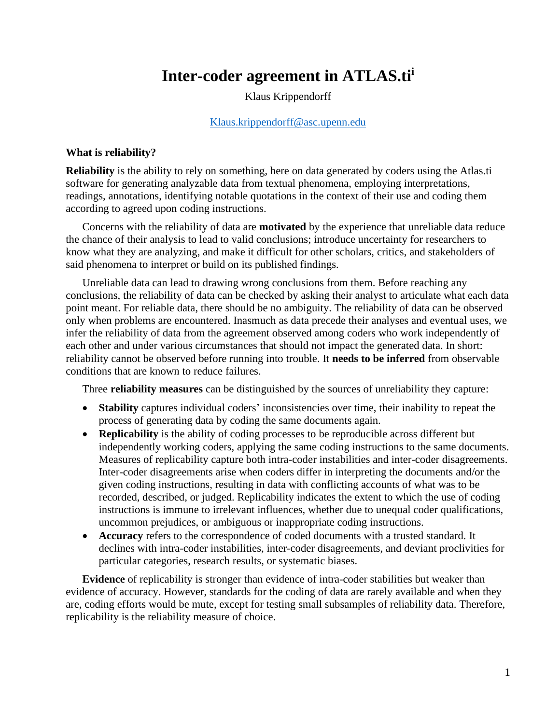# **Inter-coder agreement in ATLAS.ti<sup>i</sup>**

Klaus Krippendorff

#### [Klaus.krippendorff@asc.upenn.edu](mailto:Klaus.krippendorff@asc.upenn.edu)

## **What is reliability?**

**Reliability** is the ability to rely on something, here on data generated by coders using the Atlas.ti software for generating analyzable data from textual phenomena, employing interpretations, readings, annotations, identifying notable quotations in the context of their use and coding them according to agreed upon coding instructions.

Concerns with the reliability of data are **motivated** by the experience that unreliable data reduce the chance of their analysis to lead to valid conclusions; introduce uncertainty for researchers to know what they are analyzing, and make it difficult for other scholars, critics, and stakeholders of said phenomena to interpret or build on its published findings.

Unreliable data can lead to drawing wrong conclusions from them. Before reaching any conclusions, the reliability of data can be checked by asking their analyst to articulate what each data point meant. For reliable data, there should be no ambiguity. The reliability of data can be observed only when problems are encountered. Inasmuch as data precede their analyses and eventual uses, we infer the reliability of data from the agreement observed among coders who work independently of each other and under various circumstances that should not impact the generated data. In short: reliability cannot be observed before running into trouble. It **needs to be inferred** from observable conditions that are known to reduce failures.

Three **reliability measures** can be distinguished by the sources of unreliability they capture:

- **Stability** captures individual coders' inconsistencies over time, their inability to repeat the process of generating data by coding the same documents again.
- **Replicability** is the ability of coding processes to be reproducible across different but independently working coders, applying the same coding instructions to the same documents. Measures of replicability capture both intra-coder instabilities and inter-coder disagreements. Inter-coder disagreements arise when coders differ in interpreting the documents and/or the given coding instructions, resulting in data with conflicting accounts of what was to be recorded, described, or judged. Replicability indicates the extent to which the use of coding instructions is immune to irrelevant influences, whether due to unequal coder qualifications, uncommon prejudices, or ambiguous or inappropriate coding instructions.
- **Accuracy** refers to the correspondence of coded documents with a trusted standard. It declines with intra-coder instabilities, inter-coder disagreements, and deviant proclivities for particular categories, research results, or systematic biases.

**Evidence** of replicability is stronger than evidence of intra-coder stabilities but weaker than evidence of accuracy. However, standards for the coding of data are rarely available and when they are, coding efforts would be mute, except for testing small subsamples of reliability data. Therefore, replicability is the reliability measure of choice.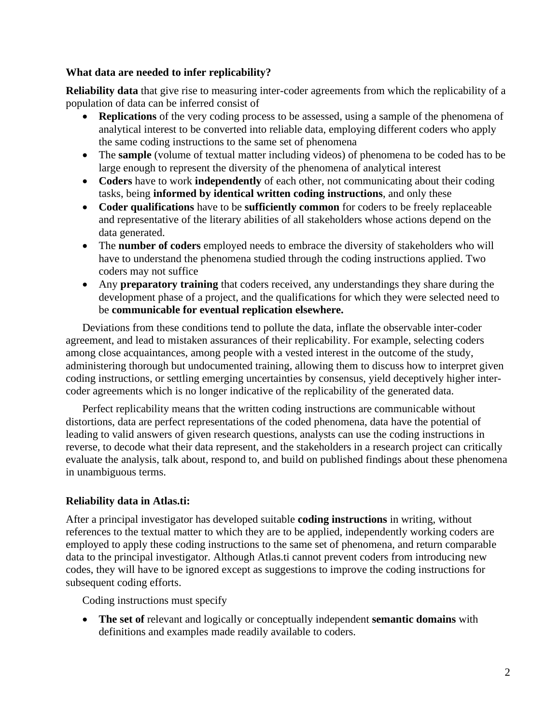## **What data are needed to infer replicability?**

**Reliability data** that give rise to measuring inter-coder agreements from which the replicability of a population of data can be inferred consist of

- **Replications** of the very coding process to be assessed, using a sample of the phenomena of analytical interest to be converted into reliable data, employing different coders who apply the same coding instructions to the same set of phenomena
- The **sample** (volume of textual matter including videos) of phenomena to be coded has to be large enough to represent the diversity of the phenomena of analytical interest
- **Coders** have to work **independently** of each other, not communicating about their coding tasks, being **informed by identical written coding instructions**, and only these
- **Coder qualifications** have to be **sufficiently common** for coders to be freely replaceable and representative of the literary abilities of all stakeholders whose actions depend on the data generated.
- The **number of coders** employed needs to embrace the diversity of stakeholders who will have to understand the phenomena studied through the coding instructions applied. Two coders may not suffice
- Any **preparatory training** that coders received, any understandings they share during the development phase of a project, and the qualifications for which they were selected need to be **communicable for eventual replication elsewhere.**

Deviations from these conditions tend to pollute the data, inflate the observable inter-coder agreement, and lead to mistaken assurances of their replicability. For example, selecting coders among close acquaintances, among people with a vested interest in the outcome of the study, administering thorough but undocumented training, allowing them to discuss how to interpret given coding instructions, or settling emerging uncertainties by consensus, yield deceptively higher intercoder agreements which is no longer indicative of the replicability of the generated data.

Perfect replicability means that the written coding instructions are communicable without distortions, data are perfect representations of the coded phenomena, data have the potential of leading to valid answers of given research questions, analysts can use the coding instructions in reverse, to decode what their data represent, and the stakeholders in a research project can critically evaluate the analysis, talk about, respond to, and build on published findings about these phenomena in unambiguous terms.

# **Reliability data in Atlas.ti:**

After a principal investigator has developed suitable **coding instructions** in writing, without references to the textual matter to which they are to be applied, independently working coders are employed to apply these coding instructions to the same set of phenomena, and return comparable data to the principal investigator. Although Atlas.ti cannot prevent coders from introducing new codes, they will have to be ignored except as suggestions to improve the coding instructions for subsequent coding efforts.

Coding instructions must specify

• **The set of** relevant and logically or conceptually independent **semantic domains** with definitions and examples made readily available to coders.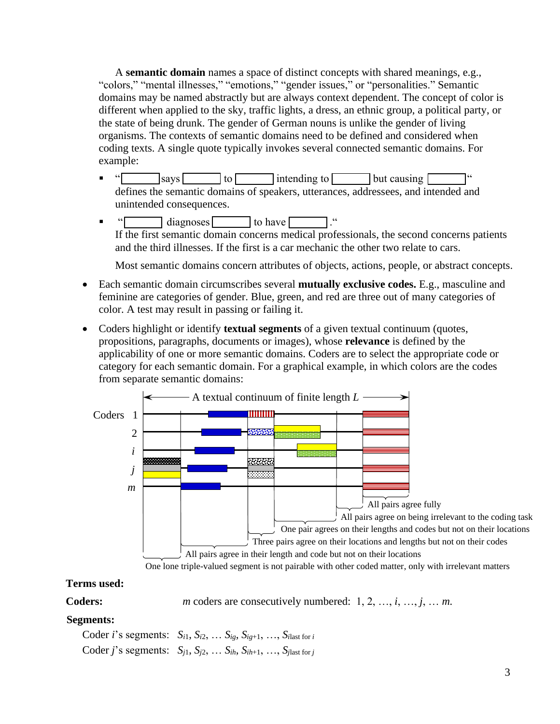A **semantic domain** names a space of distinct concepts with shared meanings, e.g., "colors," "mental illnesses," "emotions," "gender issues," or "personalities." Semantic domains may be named abstractly but are always context dependent. The concept of color is different when applied to the sky, traffic lights, a dress, an ethnic group, a political party, or the state of being drunk. The gender of German nouns is unlike the gender of living organisms. The contexts of semantic domains need to be defined and considered when coding texts. A single quote typically invokes several connected semantic domains. For example:

- $\bullet$  "  $\boxed{\phantom{a}}$  says to intending to but causing defines the semantic domains of speakers, utterances, addressees, and intended and unintended consequences.
- $\blacksquare$  " diagnoses to have  $\blacksquare$ If the first semantic domain concerns medical professionals, the second concerns patients and the third illnesses. If the first is a car mechanic the other two relate to cars.

Most semantic domains concern attributes of objects, actions, people, or abstract concepts.

- Each semantic domain circumscribes several **mutually exclusive codes.** E.g., masculine and feminine are categories of gender. Blue, green, and red are three out of many categories of color. A test may result in passing or failing it.
- Coders highlight or identify **textual segments** of a given textual continuum (quotes, propositions, paragraphs, documents or images), whose **relevance** is defined by the applicability of one or more semantic domains. Coders are to select the appropriate code or category for each semantic domain. For a graphical example, in which colors are the codes from separate semantic domains:



# **Terms used:**

**Coders:** *m* coders are consecutively numbered: 1, 2, …, *i*, …, *j*, … *m*.

# **Segments:**

Coder *i*'s segments:  $S_{i1}$ ,  $S_{i2}$ ,  $\ldots$   $S_{ig}$ ,  $S_{ig+1}$ ,  $\ldots$ ,  $S_{ilast}$  for *i* Coder *j*'s segments:  $S_{i1}$ ,  $S_{i2}$ ,  $\ldots$   $S_{ih}$ ,  $S_{ih+1}$ ,  $\ldots$ ,  $S_{\text{slast for }i}$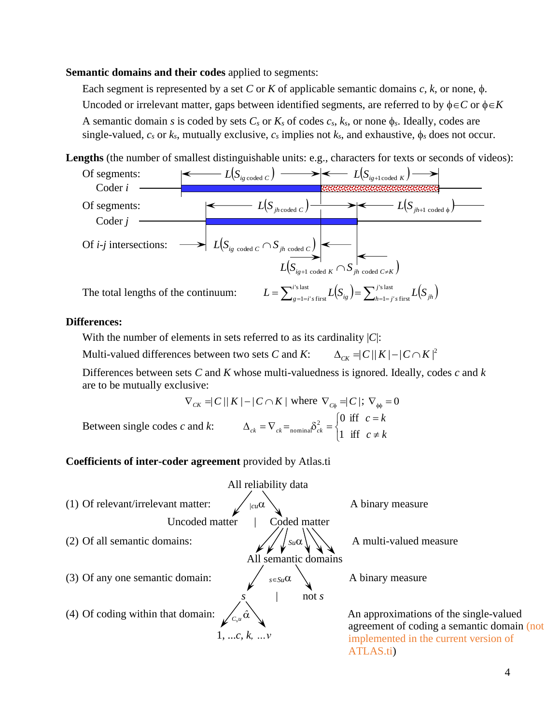## **Semantic domains and their codes** applied to segments:

Each segment is represented by a set C or K of applicable semantic domains  $c, k$ , or none,  $\phi$ . Uncoded or irrelevant matter, gaps between identified segments, are referred to by  $\phi \in C$  or  $\phi \in K$ A semantic domain *s* is coded by sets  $C_s$  or  $K_s$  of codes  $c_s$ ,  $k_s$ , or none  $\phi_s$ . Ideally, codes are single-valued,  $c_s$  or  $k_s$ , mutually exclusive,  $c_s$  implies not  $k_s$ , and exhaustive,  $\phi_s$  does not occur.

Lengths (the number of smallest distinguishable units: e.g., characters for texts or seconds of videos):



## **Differences:**

With the number of elements in sets referred to as its cardinality |*C*|: Multi-valued differences between two sets *C* and *K*:  $\Delta_{C\!K} = C ||K| - C \cap K|^2$ 

Differences between sets *C* and *K* whose multi-valuedness is ignored. Ideally, codes *c* and *k* are to be mutually exclusive:

$$
\nabla_{CK} = |C|/|K| - |C \cap K| \text{ where } \nabla_{C\phi} = |C|; \nabla_{\phi\phi} = 0
$$
\n
$$
\text{Between single codes } c \text{ and } k: \qquad \Delta_{ck} = \nabla_{ck} = \text{nominal} \delta_{ck}^2 = \begin{cases} 0 & \text{iff } c = k \\ 1 & \text{iff } c \neq k \end{cases}
$$

#### **Coefficients of inter-coder agreement** provided by Atlas.ti

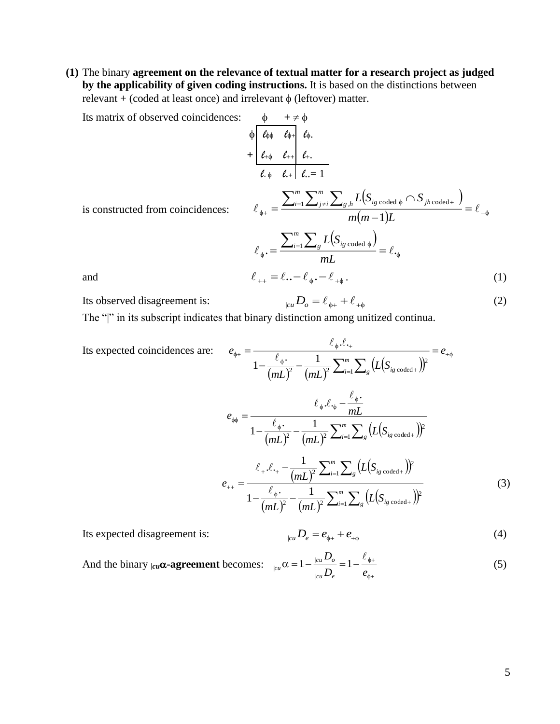**(1)** The binary **agreement on the relevance of textual matter for a research project as judged by the applicability of given coding instructions.** It is based on the distinctions between relevant + (coded at least once) and irrelevant  $\phi$  (leftover) matter.

Its matrix of observed coincidences: 
$$
\phi + \neq \phi
$$

$$
+ \frac{\rho}{\ell_{\phi\phi}} \frac{\ell_{\phi\phi}}{\ell_{\phi+1}} \frac{\ell_{\phi}}{\ell_{\phi+1}}.
$$

$$
+ \frac{\rho}{\ell_{\phi\phi}} \frac{\ell_{\phi\phi}}{\ell_{\phi+1}} \frac{\ell_{\phi}}{\ell_{\phi+1}}.
$$

$$
= \frac{\sum_{i=1}^{m} \sum_{j\neq i}^{m} \sum_{g,h} L(S_{ig \text{ coded } \phi} \cap S_{jh \text{ coded}})}{m(m-1)L} = \ell_{\phi\phi}
$$
is constructed from coincidences: 
$$
\ell_{\phi+1} = \frac{\sum_{i=1}^{m} \sum_{g} L(S_{ig \text{ coded } \phi})}{mL} = \ell_{\phi}
$$
and 
$$
\ell_{++} = \ell_{--} \ell_{\phi} - \ell_{+\phi}.
$$
 (1)

Its observed disagreement is:

$$
e_{\mu\nu}D_{\rho} = \ell_{\phi+} + \ell_{+\phi}
$$
 (2)

The "|" in its subscript indicates that binary distinction among unitized continua.

Its expected coincidences are: 
$$
e_{\phi+} = \frac{\ell_{\phi}.\ell_{+}}{1 - \frac{\ell_{\phi}}{(mL)^2} - \frac{1}{(mL)^2} \sum_{i=1}^{m} \sum_{s} (L(S_{ig \text{ coded}}))^{2}} = e_{+\phi}
$$

$$
e_{\phi\phi} = \frac{\ell_{\phi}.\ell_{\phi} - \frac{\ell_{\phi}}{mL}}{1 - \frac{\ell_{\phi}}{(mL)^2} - \frac{1}{(mL)^2} \sum_{i=1}^{m} \sum_{s} (L(S_{ig \text{ coded}}))^{2}}
$$

$$
e_{++} = \frac{\ell_{+}.\ell_{+} - \frac{1}{(mL)^2} \sum_{i=1}^{m} \sum_{s} (L(S_{ig \text{ coded}}))^{2}}{1 - \frac{\ell_{\phi}.\ell_{-}}{(mL)^2} - \frac{1}{(mL)^2} \sum_{i=1}^{m} \sum_{s} (L(S_{ig \text{ coded}}))^{2}}
$$
(3)

Its expected disagreement is:  $|cu|$ 

$$
{}_{u}D_{e}=e_{\phi+}+e_{+\phi}
$$
 (4)

And the binary 
$$
|cu\alpha
$$
-agreement becomes: 
$$
_{\text{icu}}\alpha = 1 - \frac{|cuD_{o}|}{|cuD_{e}|} = 1 - \frac{\ell_{\phi+}}{e_{\phi+}}
$$
(5)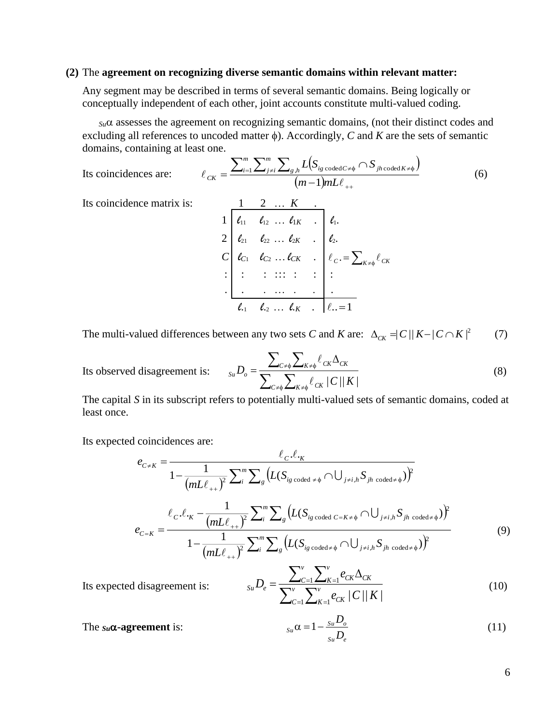#### **(2)** The **agreement on recognizing diverse semantic domains within relevant matter:**

Any segment may be described in terms of several semantic domains. Being logically or conceptually independent of each other, joint accounts constitute multi-valued coding.

*Su* assesses the agreement on recognizing semantic domains, (not their distinct codes and excluding all references to uncoded matter  $\phi$ ). Accordingly, *C* and *K* are the sets of semantic domains, containing at least one.

Its coincidences are: 
$$
\ell_{CK} = \frac{\sum_{i=1}^{m} \sum_{j \neq i}^{m} \sum_{g,h} L(S_{ig \text{ coded } C \neq \phi} \cap S_{jh \text{ coded } K \neq \phi})}{(m-1) mL \ell_{++}} \tag{6}
$$

Its coincidence matrix is:  $1 \quad 2 \quad \dots \quad K$ 

i is:  
\n
$$
\begin{array}{c|cccc}\n & 1 & 2 & \dots & K \\
1 & \ell_{11} & \ell_{12} & \dots & \ell_{1K} & \dots \\
2 & \ell_{21} & \ell_{22} & \dots & \ell_{2K} & \dots \\
\ell_{C1} & \ell_{C2} & \dots & \ell_{CK} & \dots & \ell_{C} & \dots \\
\vdots & \vdots & \vdots & \ddots & \vdots & \vdots & \vdots \\
\ell_{11} & \ell_{22} & \dots & \ell_{K} & \dots & \ell_{L} & \dots\n\end{array}
$$

The multi-valued differences between any two sets *C* and *K* are:  $\Delta_{CK} = |C||K - |C \cap K|^2$  (7)

Its observed disagreement is:

$$
S_{\mu}D_{o} = \frac{\sum_{C \neq \phi} \sum_{K \neq \phi} \ell_{CK} \Delta_{CK}}{\sum_{C \neq \phi} \sum_{K \neq \phi} \ell_{CK} / C / |K|}
$$
(8)

The capital *S* in its subscript refers to potentially multi-valued sets of semantic domains, coded at least once.

Its expected coincidences are:

$$
e_{C \neq K} = \frac{\ell_{C} \cdot \ell_{K}}{1 - \frac{1}{(mL\ell_{++})^{2}} \sum_{i}^{m} \sum_{g} \left( L(S_{ig \text{ coded } \neq \phi} \cap \bigcup_{j \neq i,h} S_{jh \text{ coded } \neq \phi}) \right)^{2}}
$$

$$
e_{C=K} = \frac{\ell_{C} \cdot \ell_{K} - \frac{1}{(mL\ell_{++})^{2}} \sum_{i}^{m} \sum_{g} \left( L(S_{ig \text{ coded } C=K\neq \phi} \cap \bigcup_{j \neq i,h} S_{jh \text{ coded } \neq \phi}) \right)^{2}}{1 - \frac{1}{(mL\ell_{++})^{2}} \sum_{i}^{m} \sum_{g} \left( L(S_{ig \text{ coded } \neq \phi} \cap \bigcup_{j \neq i,h} S_{jh \text{ coded } \neq \phi}) \right)^{2}}
$$
(9)

Its expected disagreement is:

$$
_{Su}D_e = \frac{\sum_{C=1}^{v} \sum_{K=1}^{v} e_{CK} \Delta_{CK}}{\sum_{C=1}^{v} \sum_{K=1}^{v} e_{CK} / C / |K|}
$$
(10)

The 
$$
s_u \alpha
$$
-agreement is:  $s_u \alpha = 1 - \frac{s_u D_o}{s_u D_e}$  (11)

6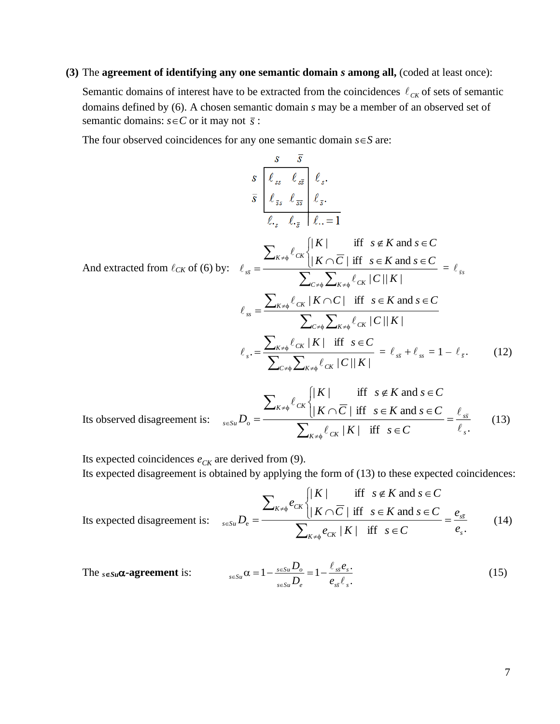## **(3)** The **agreement of identifying any one semantic domain** *s* **among all,** (coded at least once):

Semantic domains of interest have to be extracted from the coincidences  $\ell_{CK}$  of sets of semantic domains defined by (6). A chosen semantic domain *s* may be a member of an observed set of semantic domains:  $s \in C$  or it may not  $\bar{s}$ :

The four observed coincidences for any one semantic domain  $s \in S$  are:

$$
\frac{s}{\bar{s}} \frac{\bar{s}}{\int_{\ell_{ss}}^{\ell_{ss}} \ell_{\frac{s}{\bar{s}}} \int_{\ell_{\bar{s}}}^{\ell_{ss}} \ell_{\frac{s}{\bar{s}}} \frac{\ell_{\bar{s}}} {\ell_{\frac{s}{\bar{s}}}} \cdot \frac{\ell_{\bar{s}}} {\ell_{\frac{s}{\bar{s}}}} \cdot \frac{\ell_{\bar{s}}} {\ell_{\frac{s}{\bar{s}}}} \cdot \frac{\ell_{\bar{s}}} {\ell_{\frac{s}{\bar{s}}}} \cdot \frac{\ell_{\bar{s}}} {\ell_{\frac{s}{\bar{s}}}} \cdot \frac{\ell_{\bar{s}}} {\ell_{\frac{s}{\bar{s}}}} \cdot \frac{\ell_{\bar{s}}} {\ell_{\frac{s}{\bar{s}}}} \cdot \frac{\ell_{\bar{s}}} {\ell_{\frac{s}{\bar{s}}}} \cdot \frac{\ell_{\bar{s}}} {\ell_{\frac{s}{\bar{s}}}} \cdot \frac{\ell_{\bar{s}}} {\ell_{\frac{s}{\bar{s}}}} \cdot \frac{\ell_{\bar{s}}} {\ell_{\frac{s}{\bar{s}}}} \cdot \frac{\ell_{\bar{s}}} {\ell_{\frac{s}{\bar{s}}}} \cdot \frac{\ell_{\bar{s}}} {\ell_{\frac{s}{\bar{s}}}} \cdot \frac{\ell_{\bar{s}}} {\ell_{\frac{s}{\bar{s}}}} \cdot \frac{\ell_{\bar{s}}} {\ell_{\frac{s}{\bar{s}}}} \cdot \frac{\ell_{\bar{s}}} {\ell_{\frac{s}{\bar{s}}}} \cdot \frac{\ell_{\bar{s}}} {\ell_{\frac{s}{\bar{s}}}} \cdot \frac{\ell_{\bar{s}}} {\ell_{\frac{s}{\bar{s}}}} \cdot \frac{\ell_{\bar{s}}} {\ell_{\frac{s}{\bar{s}}}} \cdot \frac{\ell_{\bar{s}}} {\ell_{\frac{s}{\bar{s}}}} \cdot \frac{\ell_{\bar{s}}} {\ell_{\frac{s}{\bar{s}}}} \cdot \frac{\ell_{\bar{s}}} {\ell_{\frac{s}{\bar{s}}}} \cdot \frac{\ell_{\bar{s}}} {\ell_{\frac{s}{\bar{s}}}} \cdot \frac{\ell_{\bar{s}}} {\ell_{\frac{s}{\bar{s}}}} \cdot \frac{\ell_{\bar{s}}} {\ell_{\frac{s}{\bar{s}}}} \cdot \frac{\ell_{\bar{s}}} {\ell_{\frac{s}{\bar{s}}}} \cdot \frac{\ell_{\bar{s}}} {\ell_{\frac{s}{\bar{s}}}} \cdot \frac{\ell_{\bar{s}}} {\ell_{\frac{s}{\bar{s}}}} \cdot \frac{\ell_{\bar{s}}} {\ell_{\frac{s}{\bar{s}}}} \cdot \frac{\ell_{\bar{s}}} {\ell_{\frac{s}{\bar{s}}}} \cdot \frac{\ell
$$

Its observed disagreement is: 
$$
\sum_{s \in S_u} D_o = \frac{\sum_{K \neq \phi} \ell_{CK} \sqrt{|K| \overline{C}} / \text{ iff } s \notin K \text{ and } s \in C}{\sum_{K \neq \phi} \ell_{CK} / K / \text{ iff } s \in K \text{ and } s \in C} = \frac{\ell_{s\overline{s}}}{\ell_{s}} \qquad (13)
$$

Its expected coincidences  $e_{CK}$  are derived from (9).

Its expected disagreement is obtained by applying the form of (13) to these expected coincidences:

Its expected disagreement is: 
$$
\sum_{s \in Su} D_e = \frac{\sum_{K \neq \phi} e_{CK} \sqrt{\frac{K}{K}} \text{ iff } s \notin K \text{ and } s \in C}{\sum_{K \neq \phi} e_{CK} / K / \text{ iff } s \in K \text{ and } s \in C} = \frac{e_{s\overline{s}}}{e_s} \qquad (14)
$$

The 
$$
s \in S_u \alpha
$$
-agreement is: 
$$
s \in S_u \alpha = 1 - \frac{s \in S_u D_o}{s \in S_u D_e} = 1 - \frac{\ell_{s\overline{s}} e_s}{e_{s\overline{s}} \ell_s}.
$$
 (15)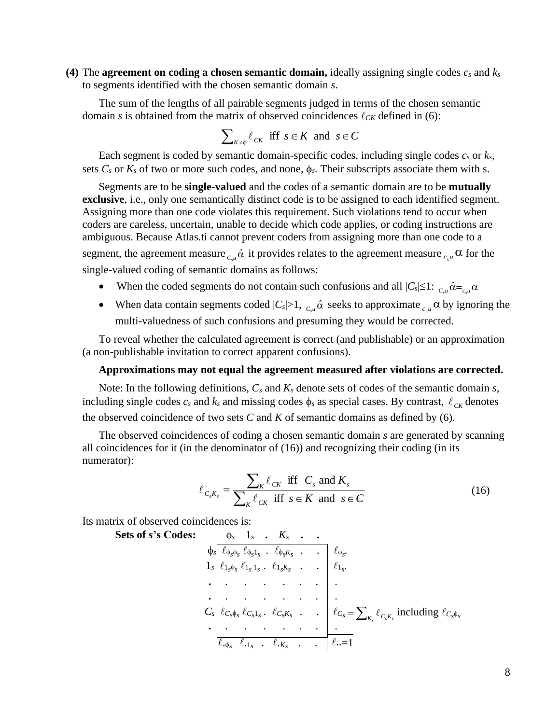**(4)** The **agreement on coding a chosen semantic domain,** ideally assigning single codes *c<sup>s</sup>* and *k<sup>s</sup>* to segments identified with the chosen semantic domain *s*.

The sum of the lengths of all pairable segments judged in terms of the chosen semantic domain *s* is obtained from the matrix of observed coincidences  $\ell_{CK}$  defined in (6):

$$
\sum\nolimits_{K \neq \phi} \ell_{CK} \text{ iff } s \in K \text{ and } s \in C
$$

Each segment is coded by semantic domain-specific codes, including single codes  $c_s$  or  $k_s$ , sets  $C_s$  or  $K_s$  of two or more such codes, and none,  $\phi_s$ . Their subscripts associate them with s.

Segments are to be **single-valued** and the codes of a semantic domain are to be **mutually exclusive**, i.e., only one semantically distinct code is to be assigned to each identified segment. Assigning more than one code violates this requirement. Such violations tend to occur when coders are careless, uncertain, unable to decide which code applies, or coding instructions are ambiguous. Because Atlas.ti cannot prevent coders from assigning more than one code to a segment, the agreement measure  $_{c,u}$   $\hat{\alpha}$  it provides relates to the agreement measure  $_{c,u}$   $\alpha$  for the

single-valued coding of semantic domains as follows:

- When the coded segments do not contain such confusions and all  $|C_s| \leq 1$ :  $C_u \hat{\alpha} = C_u \alpha$ *s s*
- When data contain segments coded  $|C_s|>1$ ,  $C_s\hat{a}$  seeks to approximate  $C_s\hat{a}$  by ignoring the multi-valuedness of such confusions and presuming they would be corrected.

To reveal whether the calculated agreement is correct (and publishable) or an approximation (a non-publishable invitation to correct apparent confusions).

### **Approximations may not equal the agreement measured after violations are corrected.**

Note: In the following definitions, *C<sup>s</sup>* and *K<sup>s</sup>* denote sets of codes of the semantic domain *s*, including single codes  $c_s$  and  $k_s$  and missing codes  $\phi_s$  as special cases. By contrast,  $\ell_{CK}$  denotes the observed coincidence of two sets  $C$  and  $K$  of semantic domains as defined by (6).

The observed coincidences of coding a chosen semantic domain *s* are generated by scanning all coincidences for it (in the denominator of (16)) and recognizing their coding (in its numerator):

$$
\ell_{C_s K_s} = \frac{\sum_{K} \ell_{CK} \text{ iff } C_s \text{ and } K_s}{\sum_{K} \ell_{CK} \text{ iff } s \in K \text{ and } s \in C}
$$
\n(16)

Its matrix of observed coincidences is:

Sets of s's Codes:  
\n
$$
\phi_s \begin{array}{ccccccccc}\n\phi_s & 1_s & . & K_s & . & . & . & . & . & . & . & \psi_{\phi_s} \\
\phi_{s} \ell_{\phi_s \phi_s} & \ell_{\phi_s 1_s} & . & \ell_{\phi_s K_s} & . & . & . & \ell_{\phi_s} \\
\vdots & \vdots & . & . & . & . & . & . & \vdots \\
\vdots & . & . & . & . & . & . & . & \vdots \\
\vdots & . & . & . & . & . & . & . & \vdots \\
\vdots & . & . & . & . & . & . & \vdots \\
\vdots & . & . & . & . & . & . & \vdots \\
\ell_{\phi_s \phi_s} & \ell_{\phi_s 1_s} & . & \ell_{\phi_s K_s} & . & . & . & \ell_{\phi_s} \\
\vdots & . & . & . & . & . & . & \vdots \\
\ell_{\phi_s \phi_s} & \ell_{\phi_s 1_s} & . & \ell_{\phi_s K_s} & . & . & \ell_{\phi_s} \\
\vdots & . & . & . & . & . & \ell_{\phi_s} \\
\ell_{\phi_s \phi_s} & \ell_{\phi_s 1_s} & . & \ell_{\phi_s K_s} & . & . & \ell_{\phi_s} \\
\vdots & . & . & . & . & . & \ell_{\phi_s} \\
\ell_{\phi_s \phi_s} & \ell_{\phi_s 1_s} & . & \ell_{\phi_s K_s} & . & . & \ell_{\phi_s} \\
\vdots & . & . & . & . & . & \ell_{\phi_s} \\
\ell_{\phi_s \phi_s} & \ell_{\phi_s 1_s} & . & \ell_{\phi_s K_s} & . & . & \ell_{\phi_s} \\
\ell_{\phi_s \phi_s} & \ell_{\phi_s 1_s} & . & \ell_{\phi_s K_s} & . & . & \ell_{\phi_s} \\
\ell_{\phi_s \phi_s} & \ell_{\phi_s 1_s} & . & \ell_{\phi_s K_s} & . & . & \ell_{\phi_s} \\
\ell_{\phi \phi_s} & \ell_{\phi \phi} & . & . & . & \ell_{\phi \phi} \\
\ell_{\phi \phi} & \ell_{\phi \phi} & . & . & . & \ell_{\phi \phi} \\
\ell_{\phi \phi} & . & . & . & . & \ell_{\phi \phi} \\
\ell_{\phi \phi} & . & . & . & . & \ell_{\phi \phi} \\
\ell_{\phi \phi} & . & . &
$$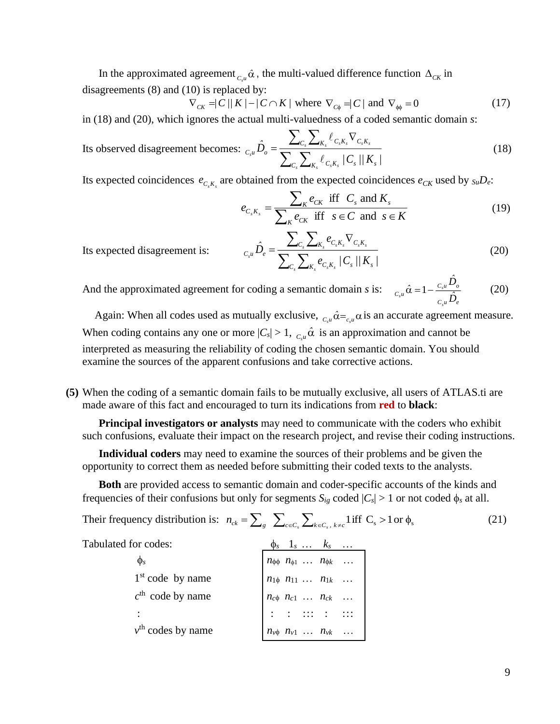In the approximated agreement  $_{c,u}$   $\hat{\alpha}$ , the multi-valued difference function  $\Delta_{CK}$  in disagreements (8) and (10) is replaced by:

$$
\nabla_{CK} = \frac{1}{C} \left( \frac{1}{K} \right) - \frac{1}{C} \left( \frac{1}{K} \right) \text{ where } \nabla_{C\phi} = \frac{1}{C} \left( \frac{1}{K} \right) = 0 \tag{17}
$$

in (18) and (20), which ignores the actual multi-valuedness of a coded semantic domain *s*:

Its observed disagreement becomes:  $\sum_{c}\sum$  $=\frac{\sum_{C_s}\sum_{K_s}\ell_{C_s K_s}\nabla}{\sum_{c_s}(\sum_{s=1}^{s_{s}}\mathbf{1}_{s_{s}}\mathbf{1}_{s_{s}})}$  $s \rightarrow \mathbf{A}$ ,  $\mathbf{B}$ ,  $\mathbf{A}$  $s \rightarrow \mathbf{R}_s$  *s*  $\mathbf{S}_s$  *s*  $\mathbf{S}_s$  *s*  $\mathbf{S}_s$  $\sum_{C_s} \sum_{K_s} \ell_{C_s K_s} / C_s / K_s$  $C_{s} \mathcal{L}_{K} \mathcal{L}_{K} \mathcal{L}_{S}^{C}$   $C_{s}K_{s}$  $C_{s}u^{L}\sigma^{C}$   $\sum_{i\in K}\sum_{i\in K} \ell_{C\,K}^{C}$   $\left|C_{s}\right|/K_{s}$  $\hat{D}$ ł. l (18)

Its expected coincidences  $e_{C,K_s}$  are obtained from the expected coincidences  $e_{CK}$  used by  $\delta u D_e$ :

$$
e_{C_s K_s} = \frac{\sum_{K} e_{CK} \text{ iff } C_s \text{ and } K_s}{\sum_{K} e_{CK} \text{ iff } s \in C \text{ and } s \in K}
$$
(19)

Its expected disagreement is:

$$
{}_{C_{s}u}\hat{D}_{e} = \frac{\sum_{C_{s}}\sum_{K_{s}}e_{C_{s}K_{s}}\nabla_{C_{s}K_{s}}}{\sum_{C_{s}}\sum_{K_{s}}e_{C_{s}K_{s}}/C_{s}/|K_{s}|}
$$
(20)

And the approximated agreement for coding a semantic domain *s* is: *C <sup>u</sup> <sup>e</sup> C <sup>u</sup> <sup>o</sup>*  $C_s u \sim -1$ <sup>*n*</sup>  $\hat{\gamma} = 1 - \frac{c_{s} u \hat{D}}{2}$ *s*  $\hat{\alpha} = 1 - \frac{C_s u^2 \delta}{\hat{\Omega}}$  (20)

Again: When all codes used as mutually exclusive,  $C_{\mu} \hat{\alpha} = C_{\mu} \alpha$  $\hat{\alpha} = \alpha \cos \alpha$  an accurate agreement measure. When coding contains any one or more  $|C_s| > 1$ ,  $_{C,u} \hat{\alpha}$  is an approximation and cannot be interpreted as measuring the reliability of coding the chosen semantic domain. You should examine the sources of the apparent confusions and take corrective actions.

**(5)** When the coding of a semantic domain fails to be mutually exclusive, all users of ATLAS.ti are made aware of this fact and encouraged to turn its indications from **red** to **black**:

**Principal investigators or analysts** may need to communicate with the coders who exhibit such confusions, evaluate their impact on the research project, and revise their coding instructions.

**Individual coders** may need to examine the sources of their problems and be given the opportunity to correct them as needed before submitting their coded texts to the analysts.

**Both** are provided access to semantic domain and coder-specific accounts of the kinds and frequencies of their confusions but only for segments  $S_{ig}$  coded  $|C_s| > 1$  or not coded  $\phi_s$  at all.

|  |  | Their frequency distribution is: $n_{ck} = \sum_{g} \sum_{c \in C_s} \sum_{k \in C_s, k \neq c} 1$ iff $C_s > 1$ or $\phi_s$ | (21) |
|--|--|------------------------------------------------------------------------------------------------------------------------------|------|
|--|--|------------------------------------------------------------------------------------------------------------------------------|------|

Tabulated for codes:  $\phi_s \quad 1_s \quad \dots \quad k_s \quad \dots$ 

| $\phi_s$            |  | $\begin{bmatrix} n_{\phi\phi} & n_{\phi 1} & \dots & n_{\phi k} & \dots \\ n_{1\phi} & n_{11} & \dots & n_{1k} & \dots \\ n_{c\phi} & n_{c1} & \dots & n_{ck} & \dots \\ \vdots & \vdots & \vdots & \vdots & \vdots \end{bmatrix}$ |  |
|---------------------|--|------------------------------------------------------------------------------------------------------------------------------------------------------------------------------------------------------------------------------------|--|
| $1st$ code by name  |  |                                                                                                                                                                                                                                    |  |
| $cth$ code by name  |  |                                                                                                                                                                                                                                    |  |
|                     |  |                                                                                                                                                                                                                                    |  |
| $vth$ codes by name |  | $\begin{vmatrix} n_{\nu\phi} & n_{\nu 1} & \dots & n_{\nu k} & \dots \end{vmatrix}$                                                                                                                                                |  |